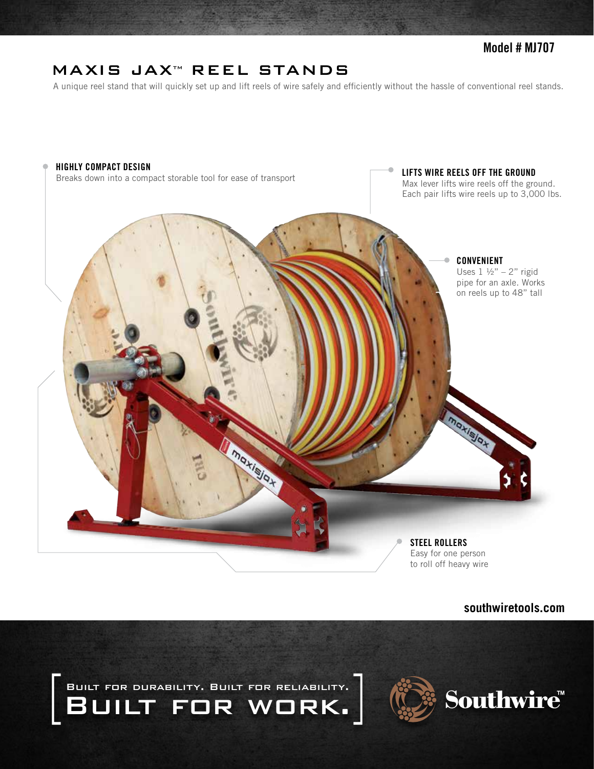# **MAXIS JAX™ REEL STANDS**

A unique reel stand that will quickly set up and lift reels of wire safely and efficiently without the hassle of conventional reel stands.

#### HIGHLY COMPACT DESIGN

Breaks down into a compact storable tool for ease of transport

#### LIFTS WIRE REELS OFF THE GROUND Max lever lifts wire reels off the ground.

Each pair lifts wire reels up to 3,000 lbs.



**southwiretools.com**